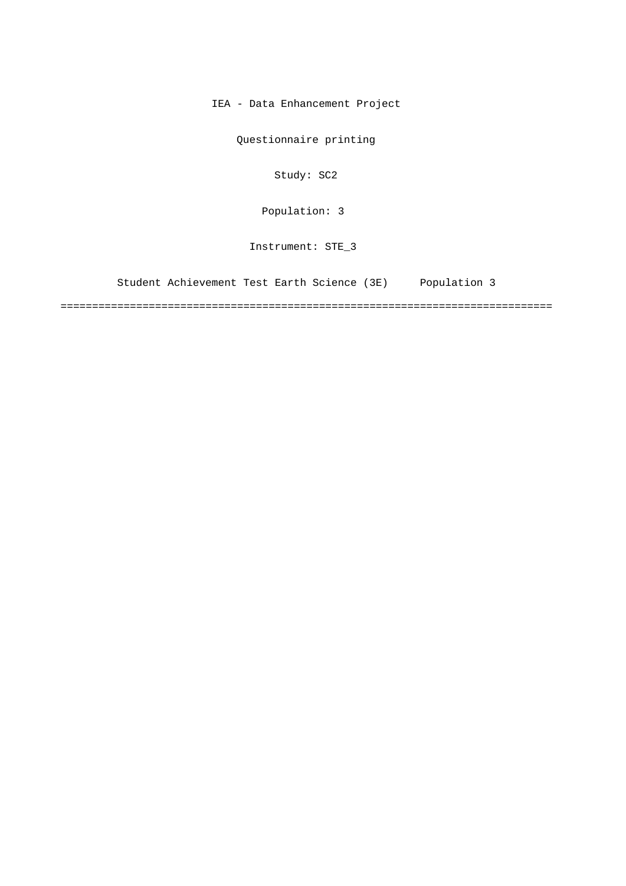IEA - Data Enhancement Project

Questionnaire printing

Study: SC2

[Population: 3](#page-2-0) 

Instrument: STE\_3

[Student Achievement Test Earth Science \(3E\) Population 3](#page-2-0)

==============================================================================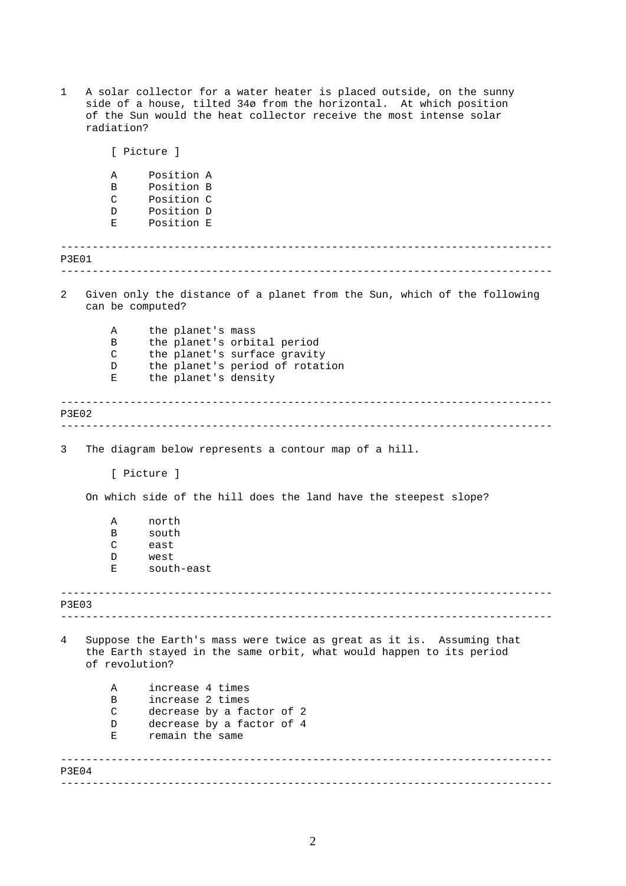------------------------------------------------------------------------------ ------------------------------------------------------------------------------ ------------------------------------------------------------------------------ ------------------------------------------------------------------------------ ------------------------------------------------------------------------------ ------------------------------------------------------------------------------ ------------------------------------------------------------------------------ ------------------------------------------------------------------------------ 1 A solar collector for a water heater is placed outside, on the sunny side of a house, tilted 34ø from the horizontal. At which position of the Sun would the heat collector receive the most intense solar radiation? [ Picture ] A Position A B Position B C Position C D Position D E Position E P3E01 2 Given only the distance of a planet from the Sun, which of the following can be computed? A the planet's mass B the planet's orbital period C the planet's surface gravity D the planet's period of rotation E the planet's density P3E02 3 The diagram below represents a contour map of a hill. [ Picture ] On which side of the hill does the land have the steepest slope? A north B south C east D west E south-east P3E03 4 Suppose the Earth's mass were twice as great as it is. Assuming that the Earth stayed in the same orbit, what would happen to its period of revolution? A increase 4 times B increase 2 times C decrease by a factor of 2 D decrease by a factor of 4 E remain the same P3E04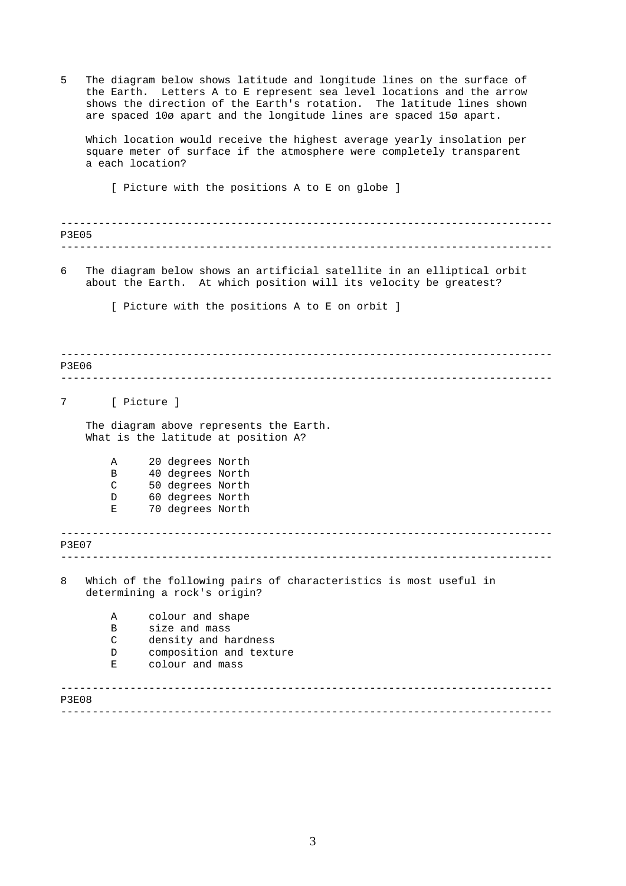<span id="page-2-0"></span>

| 5<br>The diagram below shows latitude and longitude lines on the surface of<br>the Earth. Letters A to E represent sea level locations and the arrow<br>shows the direction of the Earth's rotation. The latitude lines shown<br>are spaced 10ø apart and the longitude lines are spaced 15ø apart. |             |                                                                                                                                             |  |  |  |  |  |
|-----------------------------------------------------------------------------------------------------------------------------------------------------------------------------------------------------------------------------------------------------------------------------------------------------|-------------|---------------------------------------------------------------------------------------------------------------------------------------------|--|--|--|--|--|
| Which location would receive the highest average yearly insolation per<br>square meter of surface if the atmosphere were completely transparent<br>a each location?                                                                                                                                 |             |                                                                                                                                             |  |  |  |  |  |
|                                                                                                                                                                                                                                                                                                     |             | [ Picture with the positions A to E on globe ]                                                                                              |  |  |  |  |  |
| <b>P3E05</b>                                                                                                                                                                                                                                                                                        |             |                                                                                                                                             |  |  |  |  |  |
| 6                                                                                                                                                                                                                                                                                                   |             | The diagram below shows an artificial satellite in an elliptical orbit<br>about the Earth. At which position will its velocity be greatest? |  |  |  |  |  |
|                                                                                                                                                                                                                                                                                                     |             | [ Picture with the positions A to E on orbit ]                                                                                              |  |  |  |  |  |
| <b>P3E06</b>                                                                                                                                                                                                                                                                                        |             |                                                                                                                                             |  |  |  |  |  |
| 7                                                                                                                                                                                                                                                                                                   |             | [ Picture ]                                                                                                                                 |  |  |  |  |  |
|                                                                                                                                                                                                                                                                                                     |             | The diagram above represents the Earth.<br>What is the latitude at position A?                                                              |  |  |  |  |  |
|                                                                                                                                                                                                                                                                                                     | Α<br>B<br>C | 20 degrees North<br>40 degrees North<br>50 degrees North                                                                                    |  |  |  |  |  |
|                                                                                                                                                                                                                                                                                                     | D<br>Е      | 60 degrees North<br>70 degrees North                                                                                                        |  |  |  |  |  |
| <b>P3E07</b>                                                                                                                                                                                                                                                                                        |             |                                                                                                                                             |  |  |  |  |  |
| 8                                                                                                                                                                                                                                                                                                   |             | Which of the following pairs of characteristics is most useful in<br>determining a rock's origin?                                           |  |  |  |  |  |
|                                                                                                                                                                                                                                                                                                     | Α           | colour and shape                                                                                                                            |  |  |  |  |  |
|                                                                                                                                                                                                                                                                                                     | B           | size and mass                                                                                                                               |  |  |  |  |  |
|                                                                                                                                                                                                                                                                                                     | C<br>D      | density and hardness<br>composition and texture                                                                                             |  |  |  |  |  |
|                                                                                                                                                                                                                                                                                                     | Е           | colour and mass                                                                                                                             |  |  |  |  |  |
| <b>P3E08</b>                                                                                                                                                                                                                                                                                        |             |                                                                                                                                             |  |  |  |  |  |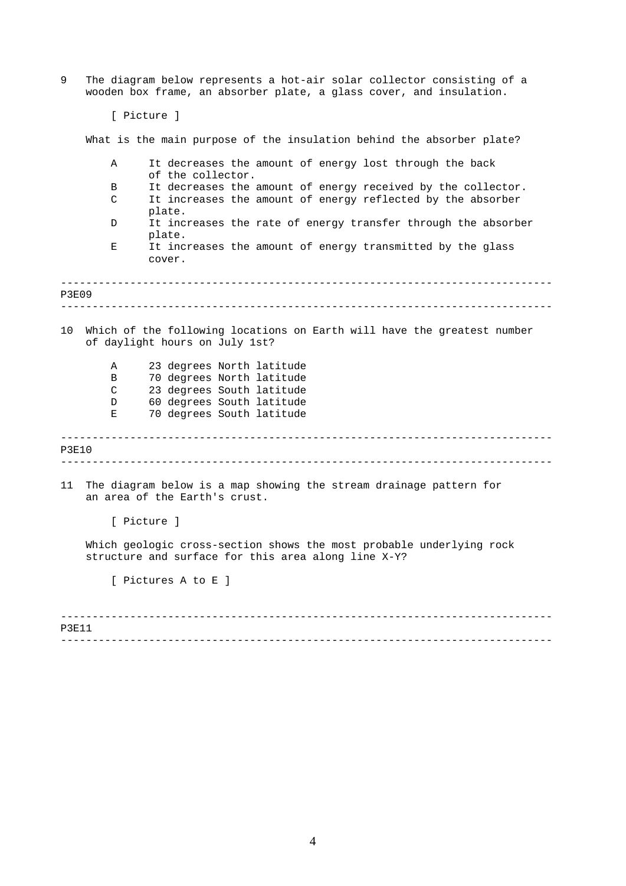9 The diagram below represents a hot-air solar collector consisting of a wooden box frame, an absorber plate, a glass cover, and insulation.

```
[ Picture ]
```
What is the main purpose of the insulation behind the absorber plate?

|              | Α                                                                                                                           | It decreases the amount of energy lost through the back<br>of the collector. |  |  |  |  |  |  |
|--------------|-----------------------------------------------------------------------------------------------------------------------------|------------------------------------------------------------------------------|--|--|--|--|--|--|
|              |                                                                                                                             | It decreases the amount of energy received by the collector.                 |  |  |  |  |  |  |
|              | В<br>C                                                                                                                      | It increases the amount of energy reflected by the absorber                  |  |  |  |  |  |  |
|              |                                                                                                                             |                                                                              |  |  |  |  |  |  |
|              |                                                                                                                             | plate.                                                                       |  |  |  |  |  |  |
|              | D                                                                                                                           | It increases the rate of energy transfer through the absorber                |  |  |  |  |  |  |
|              |                                                                                                                             | plate.                                                                       |  |  |  |  |  |  |
|              | Е                                                                                                                           | It increases the amount of energy transmitted by the glass                   |  |  |  |  |  |  |
|              |                                                                                                                             | cover.                                                                       |  |  |  |  |  |  |
| <b>P3E09</b> |                                                                                                                             |                                                                              |  |  |  |  |  |  |
|              |                                                                                                                             |                                                                              |  |  |  |  |  |  |
| 10           |                                                                                                                             | Which of the following locations on Earth will have the greatest number      |  |  |  |  |  |  |
|              |                                                                                                                             | of daylight hours on July 1st?                                               |  |  |  |  |  |  |
|              |                                                                                                                             |                                                                              |  |  |  |  |  |  |
|              | Α                                                                                                                           | 23 degrees North latitude                                                    |  |  |  |  |  |  |
|              | B                                                                                                                           | 70 degrees North latitude                                                    |  |  |  |  |  |  |
|              | C                                                                                                                           | 23 degrees South latitude                                                    |  |  |  |  |  |  |
|              | D                                                                                                                           | 60 degrees South latitude                                                    |  |  |  |  |  |  |
|              | Е                                                                                                                           | 70 degrees South latitude                                                    |  |  |  |  |  |  |
|              |                                                                                                                             |                                                                              |  |  |  |  |  |  |
| <b>P3E10</b> |                                                                                                                             |                                                                              |  |  |  |  |  |  |
|              |                                                                                                                             |                                                                              |  |  |  |  |  |  |
| 11           | The diagram below is a map showing the stream drainage pattern for<br>an area of the Earth's crust.                         |                                                                              |  |  |  |  |  |  |
|              |                                                                                                                             | [ Picture ]                                                                  |  |  |  |  |  |  |
|              | Which geologic cross-section shows the most probable underlying rock<br>structure and surface for this area along line X-Y? |                                                                              |  |  |  |  |  |  |
|              | [ Pictures A to E ]                                                                                                         |                                                                              |  |  |  |  |  |  |
|              |                                                                                                                             |                                                                              |  |  |  |  |  |  |
|              |                                                                                                                             |                                                                              |  |  |  |  |  |  |
| P3E11        |                                                                                                                             |                                                                              |  |  |  |  |  |  |
|              |                                                                                                                             |                                                                              |  |  |  |  |  |  |
|              |                                                                                                                             |                                                                              |  |  |  |  |  |  |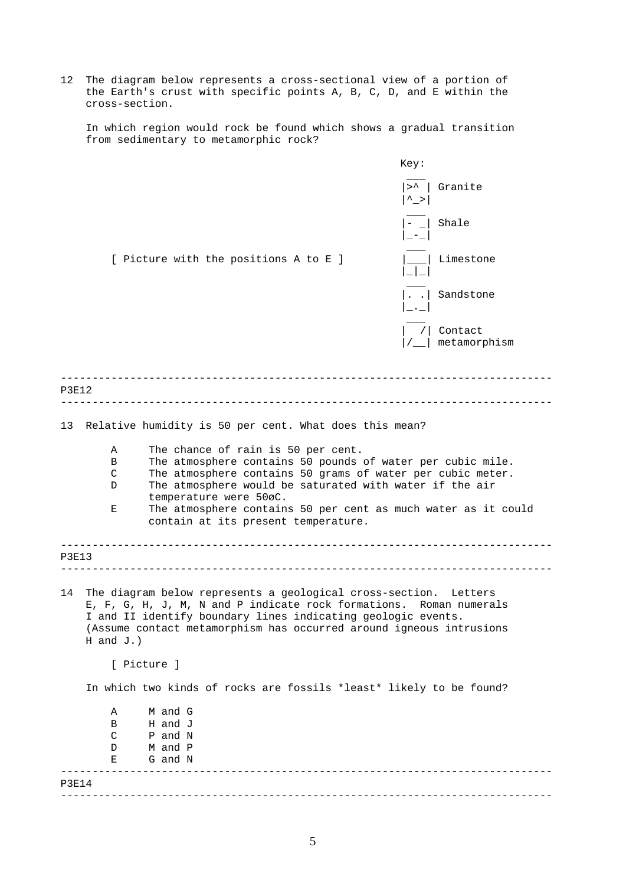12 The diagram below represents a cross-sectional view of a portion of the Earth's crust with specific points A, B, C, D, and E within the cross-section.

In which region would rock be found which shows a gradual transition from sedimentary to metamorphic rock?

|                 |                                                                                                                                                                                                                                                                                                 |                                                                                                      | Key:                    |  |  |  |  |  |
|-----------------|-------------------------------------------------------------------------------------------------------------------------------------------------------------------------------------------------------------------------------------------------------------------------------------------------|------------------------------------------------------------------------------------------------------|-------------------------|--|--|--|--|--|
|                 |                                                                                                                                                                                                                                                                                                 |                                                                                                      | Granite                 |  |  |  |  |  |
|                 |                                                                                                                                                                                                                                                                                                 |                                                                                                      | Shale                   |  |  |  |  |  |
|                 |                                                                                                                                                                                                                                                                                                 | [ Picture with the positions A to E ]                                                                | Limestone               |  |  |  |  |  |
|                 |                                                                                                                                                                                                                                                                                                 |                                                                                                      | Sandstone               |  |  |  |  |  |
|                 |                                                                                                                                                                                                                                                                                                 |                                                                                                      | Contact<br>metamorphism |  |  |  |  |  |
| <b>P3E12</b>    |                                                                                                                                                                                                                                                                                                 |                                                                                                      |                         |  |  |  |  |  |
|                 |                                                                                                                                                                                                                                                                                                 |                                                                                                      |                         |  |  |  |  |  |
| 13 <sup>°</sup> |                                                                                                                                                                                                                                                                                                 | Relative humidity is 50 per cent. What does this mean?                                               |                         |  |  |  |  |  |
|                 | А                                                                                                                                                                                                                                                                                               | The chance of rain is 50 per cent.                                                                   |                         |  |  |  |  |  |
|                 | В                                                                                                                                                                                                                                                                                               | The atmosphere contains 50 pounds of water per cubic mile.                                           |                         |  |  |  |  |  |
|                 | C                                                                                                                                                                                                                                                                                               | The atmosphere contains 50 grams of water per cubic meter.                                           |                         |  |  |  |  |  |
|                 | D                                                                                                                                                                                                                                                                                               | The atmosphere would be saturated with water if the air                                              |                         |  |  |  |  |  |
|                 |                                                                                                                                                                                                                                                                                                 | temperature were 50øC.                                                                               |                         |  |  |  |  |  |
|                 | Е                                                                                                                                                                                                                                                                                               | The atmosphere contains 50 per cent as much water as it could<br>contain at its present temperature. |                         |  |  |  |  |  |
| P3E13           |                                                                                                                                                                                                                                                                                                 |                                                                                                      |                         |  |  |  |  |  |
|                 |                                                                                                                                                                                                                                                                                                 |                                                                                                      |                         |  |  |  |  |  |
| 14              | The diagram below represents a geological cross-section. Letters<br>E, F, G, H, J, M, N and P indicate rock formations. Roman numerals<br>I and II identify boundary lines indicating geologic events.<br>(Assume contact metamorphism has occurred around igneous intrusions<br>$H$ and $J.$ ) |                                                                                                      |                         |  |  |  |  |  |
|                 | [ Picture ]                                                                                                                                                                                                                                                                                     |                                                                                                      |                         |  |  |  |  |  |
|                 |                                                                                                                                                                                                                                                                                                 | In which two kinds of rocks are fossils *least* likely to be found?                                  |                         |  |  |  |  |  |
|                 | Α                                                                                                                                                                                                                                                                                               | M and G                                                                                              |                         |  |  |  |  |  |
|                 | В                                                                                                                                                                                                                                                                                               | H and J                                                                                              |                         |  |  |  |  |  |
|                 | $\mathsf{C}$                                                                                                                                                                                                                                                                                    | P and N                                                                                              |                         |  |  |  |  |  |
|                 | D                                                                                                                                                                                                                                                                                               | M and P                                                                                              |                         |  |  |  |  |  |
|                 | Е                                                                                                                                                                                                                                                                                               | G and N                                                                                              |                         |  |  |  |  |  |
| P3E14           |                                                                                                                                                                                                                                                                                                 |                                                                                                      |                         |  |  |  |  |  |
|                 |                                                                                                                                                                                                                                                                                                 |                                                                                                      |                         |  |  |  |  |  |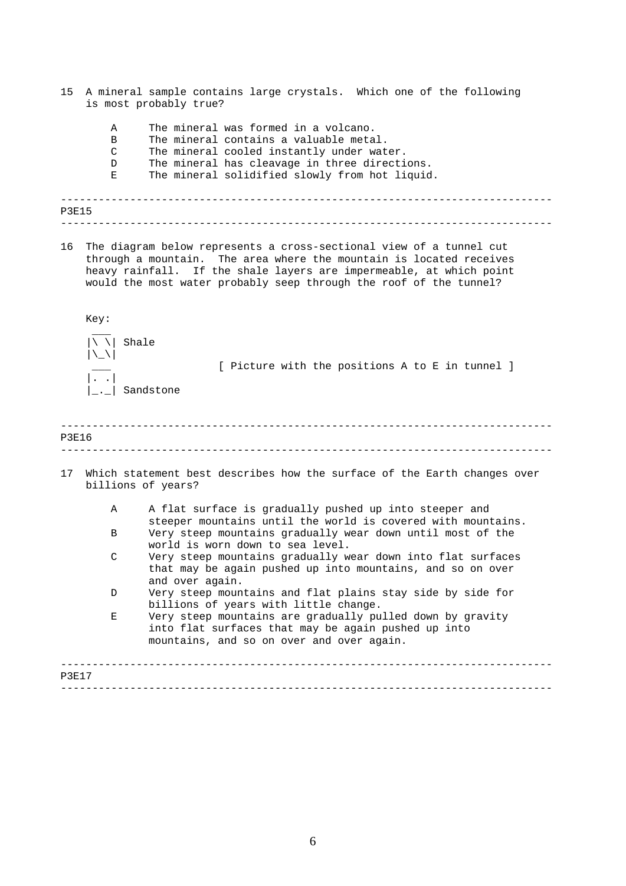- 15 A mineral sample contains large crystals. Which one of the following is most probably true?
- ------------------------------------------------------------------------------ ------------------------------------------------------------------------------ A The mineral was formed in a volcano. B The mineral contains a valuable metal. C The mineral cooled instantly under water. D The mineral has cleavage in three directions. E The mineral solidified slowly from hot liquid. P3E15
- 16 The diagram below represents a cross-sectional view of a tunnel cut through a mountain. The area where the mountain is located receives heavy rainfall. If the shale layers are impermeable, at which point would the most water probably seep through the roof of the tunnel?

Key:

| $ \n\setminus \n\setminus $ Shale                                     |  |  |                                                 |  |  |  |
|-----------------------------------------------------------------------|--|--|-------------------------------------------------|--|--|--|
|                                                                       |  |  | [ Picture with the positions A to E in tunnel ] |  |  |  |
| $\begin{vmatrix} . & . & \ . & . & \ . & . & \end{vmatrix}$ Sandstone |  |  |                                                 |  |  |  |

## ------------------------------------------------------------------------------ ------------------------------------------------------------------------------ P3E16

- 17 Which statement best describes how the surface of the Earth changes over billions of years?
	- A A flat surface is gradually pushed up into steeper and steeper mountains until the world is covered with mountains. B Very steep mountains gradually wear down until most of the
	- world is worn down to sea level.
	- C Very steep mountains gradually wear down into flat surfaces that may be again pushed up into mountains, and so on over and over again.
	- D Very steep mountains and flat plains stay side by side for billions of years with little change.
	- E Very steep mountains are gradually pulled down by gravity into flat surfaces that may be again pushed up into mountains, and so on over and over again.

| <b>P3E17</b> |  |
|--------------|--|
|              |  |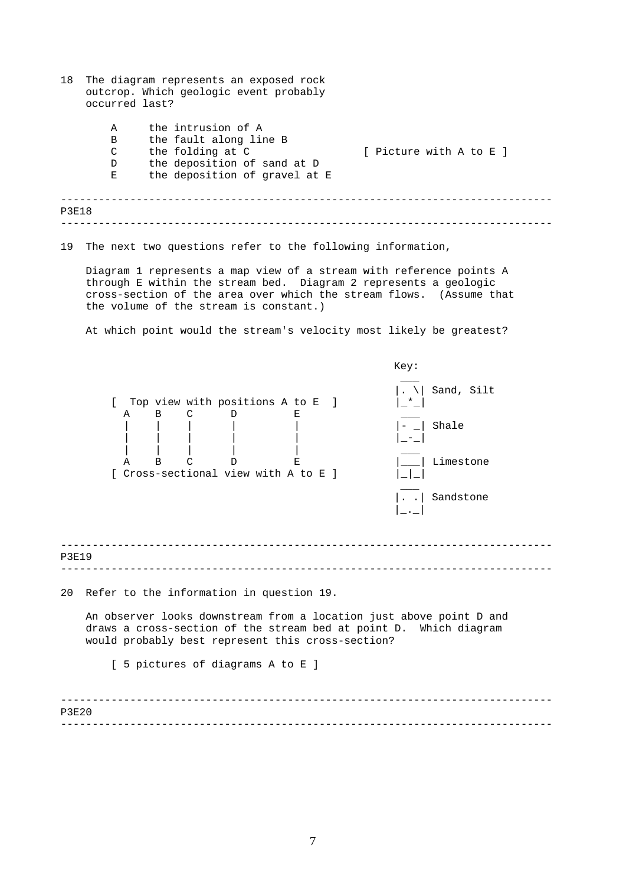------------------------------------------------------------------------------ ------------------------------------------------------------------------------ 18 The diagram represents an exposed rock outcrop. Which geologic event probably occurred last? A the intrusion of A B the fault along line B C the folding at C [ Picture with A to E ] D the deposition of sand at D E the deposition of gravel at E P3E18

19 The next two questions refer to the following information,

Diagram 1 represents a map view of a stream with reference points A through E within the stream bed. Diagram 2 represents a geologic cross-section of the area over which the stream flows. (Assume that the volume of the stream is constant.)

At which point would the stream's velocity most likely be greatest?

Key:

------------------------------------------------------------------------------ ------------------------------------------------------------------------------ ------------------------------------------------------------------------------ ------------------------------------------------------------------------------  $\overline{\phantom{a}}$  $|\cdot \rangle$  Sand, Silt [ Top view with positions A to E ]  $|-$ \*\_| A B C D E  $|-$  | Shale | | | | | |\_-\_| | | | | | \_\_\_ A B C D E | Limestone [ Cross-sectional view with A to E ] |\_|\_|  $\overline{\phantom{a}}$ |. .| Sandstone  $|$ \_ $\cdot$ \_ $|$ P3E19 20 Refer to the information in question 19. An observer looks downstream from a location just above point D and draws a cross-section of the stream bed at point D. Which diagram would probably best represent this cross-section? [ 5 pictures of diagrams A to E ] P3E20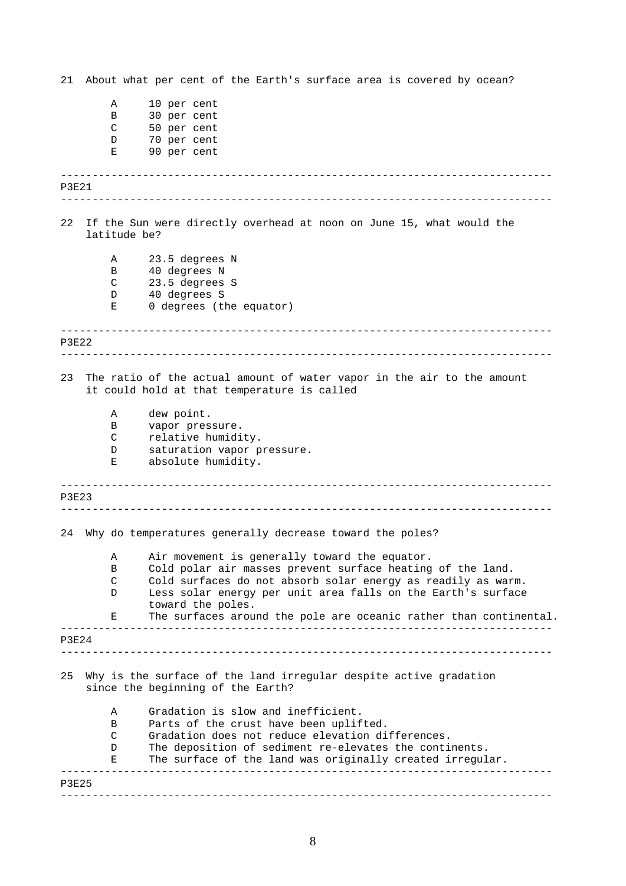------------------------------------------------------------------------------ ------------------------------------------------------------------------------ ------------------------------------------------------------------------------ ------------------------------------------------------------------------------ ------------------------------------------------------------------------------ ------------------------------------------------------------------------------ ------------------------------------------------------------------------------ ------------------------------------------------------------------------------ ------------------------------------------------------------------------------ ------------------------------------------------------------------------------ 21 About what per cent of the Earth's surface area is covered by ocean? A 10 per cent B 30 per cent C 50 per cent D 70 per cent E 90 per cent P3E21 22 If the Sun were directly overhead at noon on June 15, what would the latitude be? A 23.5 degrees N B 40 degrees N C 23.5 degrees S D 40 degrees S E 0 degrees (the equator) P3E22 23 The ratio of the actual amount of water vapor in the air to the amount it could hold at that temperature is called A dew point. B vapor pressure. C relative humidity. D saturation vapor pressure. E absolute humidity. P3E23 24 Why do temperatures generally decrease toward the poles? A Air movement is generally toward the equator. B Cold polar air masses prevent surface heating of the land. C Cold surfaces do not absorb solar energy as readily as warm. D Less solar energy per unit area falls on the Earth's surface toward the poles. E The surfaces around the pole are oceanic rather than continental. P3E24 25 Why is the surface of the land irregular despite active gradation since the beginning of the Earth? A Gradation is slow and inefficient. B Parts of the crust have been uplifted. C Gradation does not reduce elevation differences. D The deposition of sediment re-elevates the continents.<br>E The surface of the land was originally created irregul The surface of the land was originally created irregular. P3E25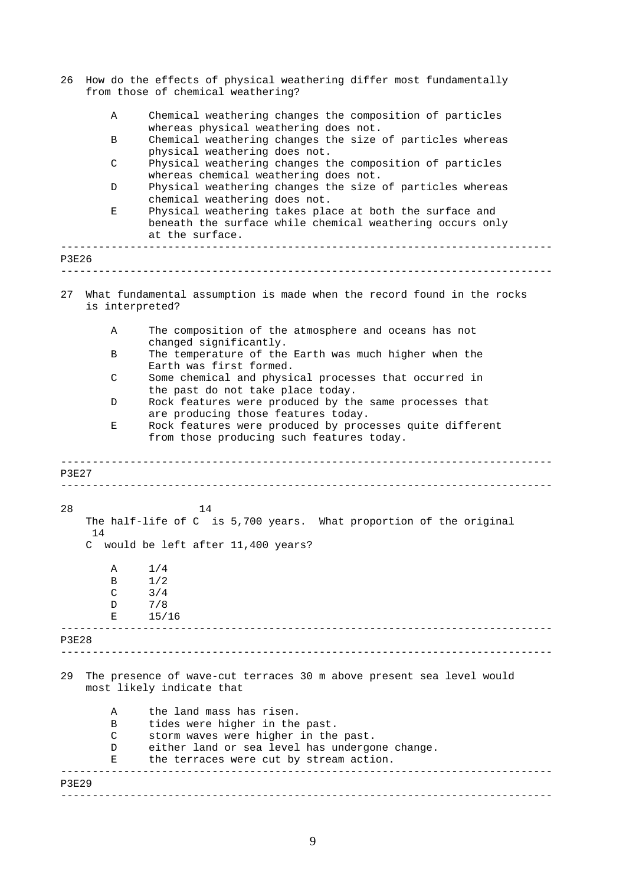| How do the effects of physical weathering differ most fundamentally<br>26<br>from those of chemical weathering? |                                                                                                   |                                                                                                                                         |  |  |  |  |  |
|-----------------------------------------------------------------------------------------------------------------|---------------------------------------------------------------------------------------------------|-----------------------------------------------------------------------------------------------------------------------------------------|--|--|--|--|--|
|                                                                                                                 | Α                                                                                                 | Chemical weathering changes the composition of particles<br>whereas physical weathering does not.                                       |  |  |  |  |  |
|                                                                                                                 | B                                                                                                 | Chemical weathering changes the size of particles whereas<br>physical weathering does not.                                              |  |  |  |  |  |
|                                                                                                                 | C                                                                                                 | Physical weathering changes the composition of particles<br>whereas chemical weathering does not.                                       |  |  |  |  |  |
|                                                                                                                 | D                                                                                                 | Physical weathering changes the size of particles whereas<br>chemical weathering does not.                                              |  |  |  |  |  |
|                                                                                                                 | Е                                                                                                 | Physical weathering takes place at both the surface and<br>beneath the surface while chemical weathering occurs only<br>at the surface. |  |  |  |  |  |
| <b>P3E26</b>                                                                                                    |                                                                                                   |                                                                                                                                         |  |  |  |  |  |
| 27                                                                                                              | is interpreted?                                                                                   | What fundamental assumption is made when the record found in the rocks                                                                  |  |  |  |  |  |
|                                                                                                                 | Α                                                                                                 | The composition of the atmosphere and oceans has not<br>changed significantly.                                                          |  |  |  |  |  |
|                                                                                                                 | B                                                                                                 | The temperature of the Earth was much higher when the<br>Earth was first formed.                                                        |  |  |  |  |  |
|                                                                                                                 | C                                                                                                 | Some chemical and physical processes that occurred in<br>the past do not take place today.                                              |  |  |  |  |  |
|                                                                                                                 | D                                                                                                 | Rock features were produced by the same processes that<br>are producing those features today.                                           |  |  |  |  |  |
|                                                                                                                 | Е                                                                                                 | Rock features were produced by processes quite different<br>from those producing such features today.                                   |  |  |  |  |  |
| P3E27                                                                                                           |                                                                                                   |                                                                                                                                         |  |  |  |  |  |
| 28                                                                                                              | 14                                                                                                | 14<br>The half-life of C is 5,700 years. What proportion of the original                                                                |  |  |  |  |  |
|                                                                                                                 | C                                                                                                 | would be left after 11,400 years?                                                                                                       |  |  |  |  |  |
|                                                                                                                 | Α<br>B                                                                                            | 1/4<br>1/2                                                                                                                              |  |  |  |  |  |
|                                                                                                                 | C<br>D                                                                                            | 3/4<br>7/8                                                                                                                              |  |  |  |  |  |
|                                                                                                                 | Е                                                                                                 | 15/16                                                                                                                                   |  |  |  |  |  |
| P3E28                                                                                                           |                                                                                                   |                                                                                                                                         |  |  |  |  |  |
| 29                                                                                                              | The presence of wave-cut terraces 30 m above present sea level would<br>most likely indicate that |                                                                                                                                         |  |  |  |  |  |
|                                                                                                                 | Α                                                                                                 | the land mass has risen.                                                                                                                |  |  |  |  |  |
|                                                                                                                 | B<br>C                                                                                            | tides were higher in the past.<br>storm waves were higher in the past.                                                                  |  |  |  |  |  |
|                                                                                                                 | D<br>Е                                                                                            | either land or sea level has undergone change.<br>the terraces were cut by stream action.                                               |  |  |  |  |  |
| P3E29                                                                                                           |                                                                                                   |                                                                                                                                         |  |  |  |  |  |
|                                                                                                                 |                                                                                                   |                                                                                                                                         |  |  |  |  |  |